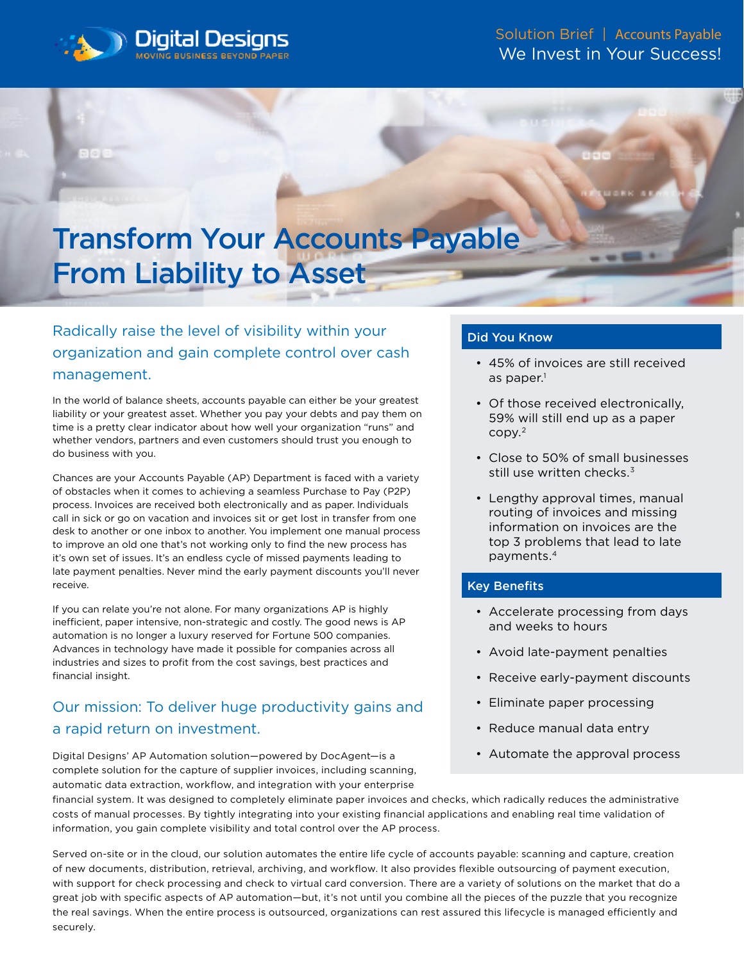

# Transform Your Accounts Payable From Liability to Asset

## Radically raise the level of visibility within your organization and gain complete control over cash management.

In the world of balance sheets, accounts payable can either be your greatest liability or your greatest asset. Whether you pay your debts and pay them on time is a pretty clear indicator about how well your organization "runs" and whether vendors, partners and even customers should trust you enough to do business with you.

Chances are your Accounts Payable (AP) Department is faced with a variety of obstacles when it comes to achieving a seamless Purchase to Pay (P2P) process. Invoices are received both electronically and as paper. Individuals call in sick or go on vacation and invoices sit or get lost in transfer from one desk to another or one inbox to another. You implement one manual process to improve an old one that's not working only to find the new process has it's own set of issues. It's an endless cycle of missed payments leading to late payment penalties. Never mind the early payment discounts you'll never receive.

If you can relate you're not alone. For many organizations AP is highly inefficient, paper intensive, non-strategic and costly. The good news is AP automation is no longer a luxury reserved for Fortune 500 companies. Advances in technology have made it possible for companies across all industries and sizes to profit from the cost savings, best practices and financial insight.

## Our mission: To deliver huge productivity gains and a rapid return on investment.

Digital Designs' AP Automation solution—powered by DocAgent—is a complete solution for the capture of supplier invoices, including scanning, automatic data extraction, workflow, and integration with your enterprise

#### Did You Know

- 45% of invoices are still received as paper. $1$
- Of those received electronically, 59% will still end up as a paper copy.2
- Close to 50% of small businesses still use written checks.<sup>3</sup>
- Lengthy approval times, manual routing of invoices and missing information on invoices are the top 3 problems that lead to late payments.4

#### Key Benefits

- Accelerate processing from days and weeks to hours
- Avoid late-payment penalties
- Receive early-payment discounts
- Eliminate paper processing
- Reduce manual data entry
- Automate the approval process

financial system. It was designed to completely eliminate paper invoices and checks, which radically reduces the administrative costs of manual processes. By tightly integrating into your existing financial applications and enabling real time validation of information, you gain complete visibility and total control over the AP process.

Served on-site or in the cloud, our solution automates the entire life cycle of accounts payable: scanning and capture, creation of new documents, distribution, retrieval, archiving, and workflow. It also provides flexible outsourcing of payment execution, with support for check processing and check to virtual card conversion. There are a variety of solutions on the market that do a great job with specific aspects of AP automation—but, it's not until you combine all the pieces of the puzzle that you recognize the real savings. When the entire process is outsourced, organizations can rest assured this lifecycle is managed efficiently and securely.